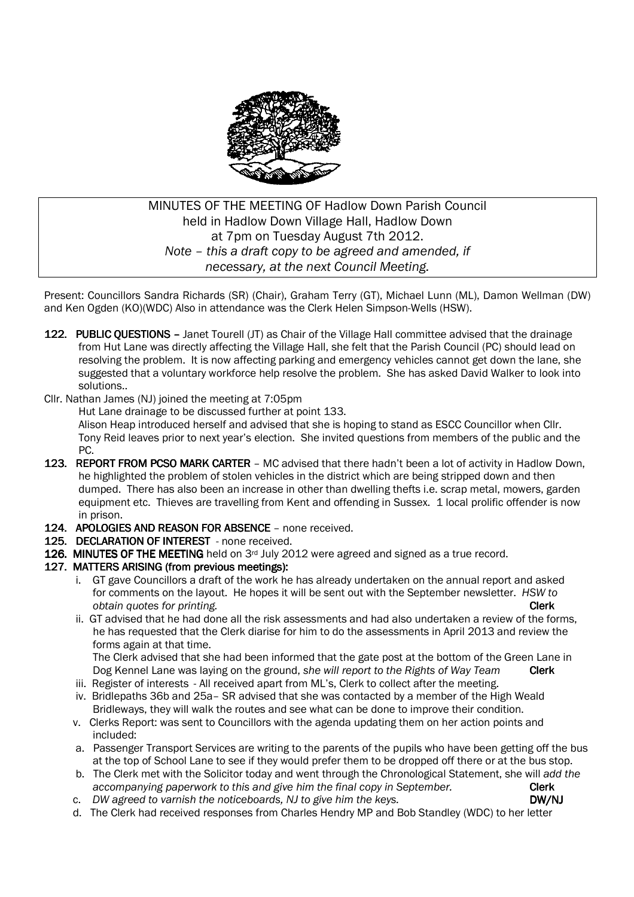

# MINUTES OF THE MEETING OF Hadlow Down Parish Council held in Hadlow Down Village Hall, Hadlow Down at 7pm on Tuesday August 7th 2012. *Note – this a draft copy to be agreed and amended, if necessary, at the next Council Meeting.*

Present: Councillors Sandra Richards (SR) (Chair), Graham Terry (GT), Michael Lunn (ML), Damon Wellman (DW) and Ken Ogden (KO)(WDC) Also in attendance was the Clerk Helen Simpson-Wells (HSW).

- 122. PUBLIC OUESTIONS Janet Tourell (JT) as Chair of the Village Hall committee advised that the drainage from Hut Lane was directly affecting the Village Hall, she felt that the Parish Council (PC) should lead on resolving the problem. It is now affecting parking and emergency vehicles cannot get down the lane, she suggested that a voluntary workforce help resolve the problem. She has asked David Walker to look into solutions..
- Cllr. Nathan James (NJ) joined the meeting at 7:05pm

Hut Lane drainage to be discussed further at point 133.

 Alison Heap introduced herself and advised that she is hoping to stand as ESCC Councillor when Cllr. Tony Reid leaves prior to next year's election. She invited questions from members of the public and the PC.

- 123. REPORT FROM PCSO MARK CARTER MC advised that there hadn't been a lot of activity in Hadlow Down, he highlighted the problem of stolen vehicles in the district which are being stripped down and then dumped. There has also been an increase in other than dwelling thefts i.e. scrap metal, mowers, garden equipment etc. Thieves are travelling from Kent and offending in Sussex. 1 local prolific offender is now in prison.
- 124. APOLOGIES AND REASON FOR ABSENCE none received.
- 125. DECLARATION OF INTEREST none received.
- 126. MINUTES OF THE MEETING held on 3rd July 2012 were agreed and signed as a true record.
- 127. MATTERS ARISING (from previous meetings):
	- i. GT gave Councillors a draft of the work he has already undertaken on the annual report and asked for comments on the layout. He hopes it will be sent out with the September newsletter. *HSW to <i>obtain quotes for printing.* Clerk and the contract of the contract of the clerk clerk clerk clerk and the clerk
	- ii. GT advised that he had done all the risk assessments and had also undertaken a review of the forms, he has requested that the Clerk diarise for him to do the assessments in April 2013 and review the forms again at that time.

 The Clerk advised that she had been informed that the gate post at the bottom of the Green Lane in Dog Kennel Lane was laying on the ground, *she will report to the Rights of Way Team* Clerk

- iii. Register of interests All received apart from ML's, Clerk to collect after the meeting.
- iv. Bridlepaths 36b and 25a– SR advised that she was contacted by a member of the High Weald Bridleways, they will walk the routes and see what can be done to improve their condition.
- v. Clerks Report: was sent to Councillors with the agenda updating them on her action points and included:
- a. Passenger Transport Services are writing to the parents of the pupils who have been getting off the bus at the top of School Lane to see if they would prefer them to be dropped off there or at the bus stop.
- b. The Clerk met with the Solicitor today and went through the Chronological Statement, she will *add the*  accompanying paperwork to this and give him the final copy in September. **Clerk**<br>DW agreed to varnish the noticeboards. NJ to give him the keys. **CLACCONTER DIGITARY DIGITARY**
- c. *DW agreed to varnish the noticeboards, NJ to give him the keys.*
- 
- d. The Clerk had received responses from Charles Hendry MP and Bob Standley (WDC) to her letter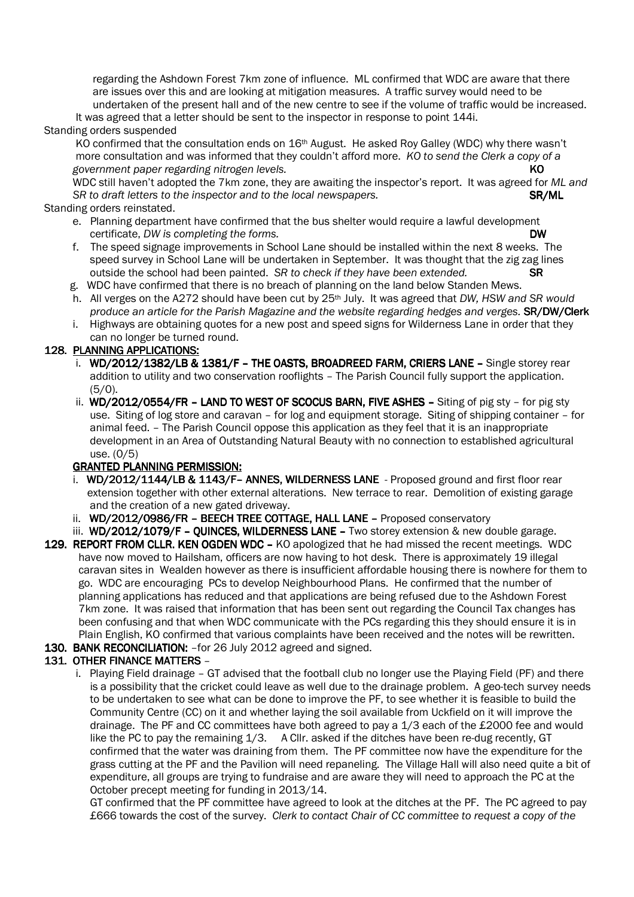regarding the Ashdown Forest 7km zone of influence. ML confirmed that WDC are aware that there are issues over this and are looking at mitigation measures. A traffic survey would need to be undertaken of the present hall and of the new centre to see if the volume of traffic would be increased.

 It was agreed that a letter should be sent to the inspector in response to point 144i. Standing orders suspended

 KO confirmed that the consultation ends on 16th August. He asked Roy Galley (WDC) why there wasn't more consultation and was informed that they couldn't afford more. *KO to send the Clerk a copy of a government paper regarding nitrogen levels.* **Example 20 and 7 and 7 and 7 and 7 and 7 and 7 and 7 and 7 and 7 and 7 and 7 and 7 and 7 and 7 and 7 and 7 and 7 and 7 and 7 and 7 and 7 and 7 and 7 and 7 and 7 and 7 and 7 an** 

 WDC still haven't adopted the 7km zone, they are awaiting the inspector's report. It was agreed for *ML and SR to draft letters to the inspector and to the local newspapers.* **SR/ML SR/ML** 

### Standing orders reinstated.

- e. Planning department have confirmed that the bus shelter would require a lawful development certificate, *DW is completing the forms.* DW
- f. The speed signage improvements in School Lane should be installed within the next 8 weeks. The speed survey in School Lane will be undertaken in September. It was thought that the zig zag lines outside the school had been painted. *SR to check if they have been extended.* **SR**
- g. WDC have confirmed that there is no breach of planning on the land below Standen Mews.
- h. All verges on the A272 should have been cut by 25th July. It was agreed that *DW, HSW and SR would produce an article for the Parish Magazine and the website regarding hedges and verges.* SR/DW/Clerk
- i. Highways are obtaining quotes for a new post and speed signs for Wilderness Lane in order that they can no longer be turned round.

## 128. PLANNING APPLICATIONS:

- i. WD/2012/1382/LB & 1381/F THE OASTS, BROADREED FARM, CRIERS LANE Single storey rear addition to utility and two conservation rooflights – The Parish Council fully support the application. (5/0).
- ii. WD/2012/0554/FR LAND TO WEST OF SCOCUS BARN, FIVE ASHES Siting of pig sty for pig sty use. Siting of log store and caravan – for log and equipment storage. Siting of shipping container – for animal feed. – The Parish Council oppose this application as they feel that it is an inappropriate development in an Area of Outstanding Natural Beauty with no connection to established agricultural use. (0/5)

### GRANTED PLANNING PERMISSION: GRANTED PLANNING PERMISSION:

- i. WD/2012/1144/LB & 1143/F- ANNES, WILDERNESS LANE Proposed ground and first floor rear extension together with other external alterations. New terrace to rear. Demolition of existing garage and the creation of a new gated driveway.
- ii. WD/2012/0986/FR BEECH TREE COTTAGE, HALL LANE Proposed conservatory
- iii. WD/2012/1079/F OUINCES, WILDERNESS LANE Two storey extension  $\&$  new double garage. 129. REPORT FROM CLLR. KEN OGDEN WDC – KO apologized that he had missed the recent meetings. WDC have now moved to Hailsham, officers are now having to hot desk. There is approximately 19 illegal caravan sites in Wealden however as there is insufficient affordable housing there is nowhere for them to go. WDC are encouraging PCs to develop Neighbourhood Plans. He confirmed that the number of planning applications has reduced and that applications are being refused due to the Ashdown Forest 7km zone. It was raised that information that has been sent out regarding the Council Tax changes has been confusing and that when WDC communicate with the PCs regarding this they should ensure it is in Plain English, KO confirmed that various complaints have been received and the notes will be rewritten.
- 130. BANK RECONCILIATION: for 26 July 2012 agreed and signed.

## 131. OTHER FINANCE MATTERS -

 i. Playing Field drainage – GT advised that the football club no longer use the Playing Field (PF) and there is a possibility that the cricket could leave as well due to the drainage problem. A geo-tech survey needs to be undertaken to see what can be done to improve the PF, to see whether it is feasible to build the Community Centre (CC) on it and whether laying the soil available from Uckfield on it will improve the drainage. The PF and CC committees have both agreed to pay a 1/3 each of the £2000 fee and would like the PC to pay the remaining 1/3. A Cllr. asked if the ditches have been re-dug recently, GT confirmed that the water was draining from them. The PF committee now have the expenditure for the grass cutting at the PF and the Pavilion will need repaneling. The Village Hall will also need quite a bit of expenditure, all groups are trying to fundraise and are aware they will need to approach the PC at the October precept meeting for funding in 2013/14.

 GT confirmed that the PF committee have agreed to look at the ditches at the PF. The PC agreed to pay £666 towards the cost of the survey. *Clerk to contact Chair of CC committee to request a copy of the*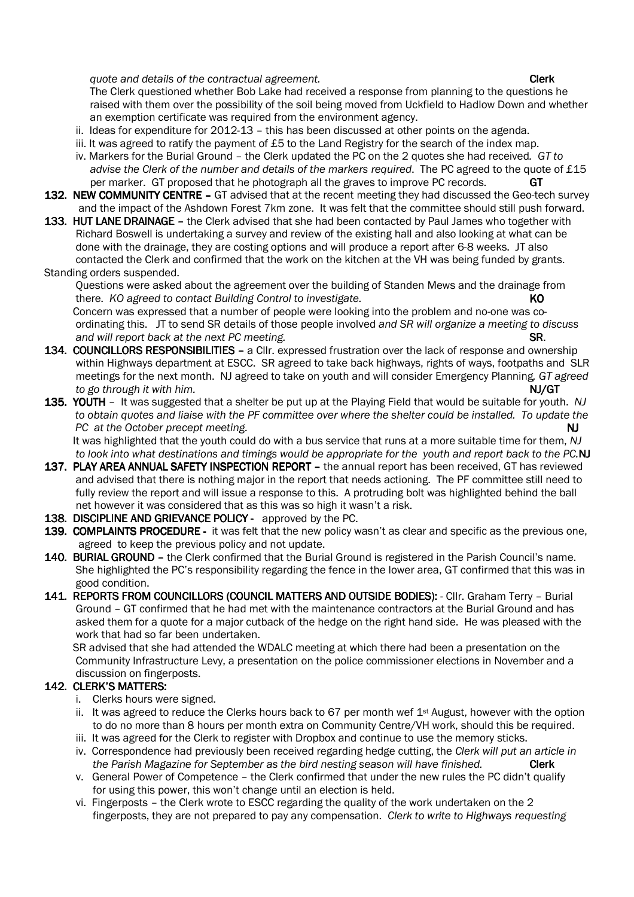*auote and details of the contractual agreement.*  $\blacksquare$ 

 The Clerk questioned whether Bob Lake had received a response from planning to the questions he raised with them over the possibility of the soil being moved from Uckfield to Hadlow Down and whether an exemption certificate was required from the environment agency.

- ii. Ideas for expenditure for 2012-13 this has been discussed at other points on the agenda.
- iii. It was agreed to ratify the payment of £5 to the Land Registry for the search of the index map.
- iv. Markers for the Burial Ground the Clerk updated the PC on the 2 quotes she had received*. GT to advise the Clerk of the number and details of the markers required*. The PC agreed to the quote of £15 per marker. GT proposed that he photograph all the graves to improve PC records. GT
- 132. NEW COMMUNITY CENTRE GT advised that at the recent meeting they had discussed the Geo-tech survey and the impact of the Ashdown Forest 7km zone. It was felt that the committee should still push forward.
- 133. HUT LANE DRAINAGE the Clerk advised that she had been contacted by Paul James who together with Richard Boswell is undertaking a survey and review of the existing hall and also looking at what can be done with the drainage, they are costing options and will produce a report after 6-8 weeks. JT also contacted the Clerk and confirmed that the work on the kitchen at the VH was being funded by grants. Standing orders suspended.

 Questions were asked about the agreement over the building of Standen Mews and the drainage from there. *KO agreed to contact Building Control to investigate.* KO

Concern was expressed that a number of people were looking into the problem and no-one was co ordinating this. JT to send SR details of those people involved *and SR will organize a meeting to discuss*  and will report back at the next PC meeting. **SR. SR. SR. SR. SR. SR. SR. SR. SR. SR. SR. SR. SR. SR. SR. SR. SR. SR. SR. SR. SR. SR. SR. SR. SR. SR. SR. SR. SR. SR** 

- 134. COUNCILLORS RESPONSIBILITIES a Cllr. expressed frustration over the lack of response and ownership within Highways department at ESCC. SR agreed to take back highways, rights of ways, footpaths and SLR meetings for the next month. NJ agreed to take on youth and will consider Emergency Planning*, GT agreed to go through it with him.* NJ/GT
- 135. YOUTH It was suggested that a shelter be put up at the Playing Field that would be suitable for youth. *NJ to obtain quotes and liaise with the PF committee over where the shelter could be installed. To update the PC at the October precept meeting.* NJ

It was highlighted that the youth could do with a bus service that runs at a more suitable time for them, NJ  *to look into what destinations and timings would be appropriate for the youth and report back to the PC.*NJ

- 137. PLAY AREA ANNUAL SAFETY INSPECTION REPORT the annual report has been received, GT has reviewed and advised that there is nothing major in the report that needs actioning. The PF committee still need to fully review the report and will issue a response to this. A protruding bolt was highlighted behind the ball net however it was considered that as this was so high it wasn't a risk.
- 138. DISCIPLINE AND GRIEVANCE POLICY approved by the PC.
- 139. COMPLAINTS PROCEDURE it was felt that the new policy wasn't as clear and specific as the previous one, agreed to keep the previous policy and not update.
- 140. BURIAL GROUND the Clerk confirmed that the Burial Ground is registered in the Parish Council's name. She highlighted the PC's responsibility regarding the fence in the lower area, GT confirmed that this was in good condition.
- 141. REPORTS FROM COUNCILLORS (COUNCIL MATTERS AND OUTSIDE BODIES): Cllr. Graham Terry Burial Ground – GT confirmed that he had met with the maintenance contractors at the Burial Ground and has asked them for a quote for a major cutback of the hedge on the right hand side. He was pleased with the work that had so far been undertaken.

SR advised that she had attended the WDALC meeting at which there had been a presentation on the Community Infrastructure Levy, a presentation on the police commissioner elections in November and a discussion on fingerposts.

### 142. CLERK'S MATTERS:

- i. Clerks hours were signed.
- ii. It was agreed to reduce the Clerks hours back to 67 per month wef  $1<sup>st</sup>$  August, however with the option to do no more than 8 hours per month extra on Community Centre/VH work, should this be required.
- iii. It was agreed for the Clerk to register with Dropbox and continue to use the memory sticks.
- iv. Correspondence had previously been received regarding hedge cutting, the *Clerk will put an article in the Parish Magazine for September as the bird nesting season will have finished.* Clerk
- v. General Power of Competence the Clerk confirmed that under the new rules the PC didn't qualify for using this power, this won't change until an election is held.
- vi. Fingerposts the Clerk wrote to ESCC regarding the quality of the work undertaken on the 2 fingerposts, they are not prepared to pay any compensation. *Clerk to write to Highways requesting*